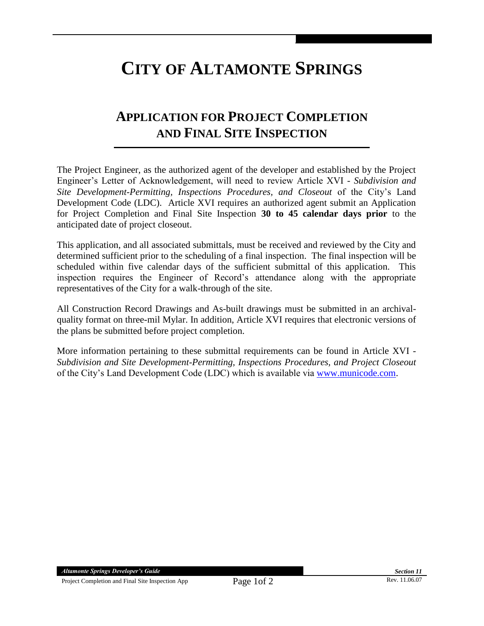## **CITY OF ALTAMONTE SPRINGS**

## **APPLICATION FOR PROJECT COMPLETION AND FINAL SITE INSPECTION**

The Project Engineer, as the authorized agent of the developer and established by the Project Engineer's Letter of Acknowledgement, will need to review Article XVI - *Subdivision and Site Development-Permitting, Inspections Procedures, and Closeout* of the City's Land Development Code (LDC). Article XVI requires an authorized agent submit an Application for Project Completion and Final Site Inspection **30 to 45 calendar days prior** to the anticipated date of project closeout.

This application, and all associated submittals, must be received and reviewed by the City and determined sufficient prior to the scheduling of a final inspection. The final inspection will be scheduled within five calendar days of the sufficient submittal of this application. This inspection requires the Engineer of Record's attendance along with the appropriate representatives of the City for a walk-through of the site.

All Construction Record Drawings and As-built drawings must be submitted in an archivalquality format on three-mil Mylar. In addition, Article XVI requires that electronic versions of the plans be submitted before project completion.

More information pertaining to these submittal requirements can be found in Article XVI - *Subdivision and Site Development-Permitting, Inspections Procedures, and Project Closeout* of the City's Land Development Code (LDC) which is available via [www.municode.com.](http://www.municode.com/)